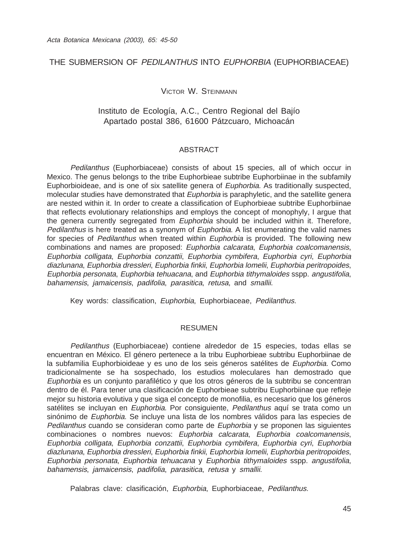## THE SUBMERSION OF PEDILANTHUS INTO EUPHORBIA (EUPHORBIACEAE)

VICTOR W. STEINMANN

# Instituto de Ecología, A.C., Centro Regional del Bajío Apartado postal 386, 61600 Pátzcuaro, Michoacán

#### ABSTRACT

Pedilanthus (Euphorbiaceae) consists of about 15 species, all of which occur in Mexico. The genus belongs to the tribe Euphorbieae subtribe Euphorbiinae in the subfamily Euphorbioideae, and is one of six satellite genera of Euphorbia. As traditionally suspected, molecular studies have demonstrated that Euphorbia is paraphyletic, and the satellite genera are nested within it. In order to create a classification of Euphorbieae subtribe Euphorbiinae that reflects evolutionary relationships and employs the concept of monophyly, I argue that the genera currently segregated from Euphorbia should be included within it. Therefore, Pedilanthus is here treated as a synonym of Euphorbia. A list enumerating the valid names for species of Pedilanthus when treated within Euphorbia is provided. The following new combinations and names are proposed: Euphorbia calcarata, Euphorbia coalcomanensis, Euphorbia colligata, Euphorbia conzattii, Euphorbia cymbifera, Euphorbia cyri, Euphorbia diazlunana, Euphorbia dressleri, Euphorbia finkii, Euphorbia lomelii, Euphorbia peritropoides, Euphorbia personata, Euphorbia tehuacana, and Euphorbia tithymaloides sspp. angustifolia, bahamensis, jamaicensis, padifolia, parasitica, retusa, and smallii.

Key words: classification, Euphorbia, Euphorbiaceae, Pedilanthus.

#### RESUMEN

Pedilanthus (Euphorbiaceae) contiene alrededor de 15 especies, todas ellas se encuentran en México. El género pertenece a la tribu Euphorbieae subtribu Euphorbiinae de la subfamilia Euphorbioideae y es uno de los seis géneros satélites de Euphorbia. Como tradicionalmente se ha sospechado, los estudios moleculares han demostrado que Euphorbia es un conjunto parafilético y que los otros géneros de la subtribu se concentran dentro de él. Para tener una clasificación de Euphorbieae subtribu Euphorbiinae que refleje mejor su historia evolutiva y que siga el concepto de monofilia, es necesario que los géneros satélites se incluyan en Euphorbia. Por consiguiente, Pedilanthus aquí se trata como un sinónimo de Euphorbia. Se incluye una lista de los nombres válidos para las especies de Pedilanthus cuando se consideran como parte de Euphorbia y se proponen las siguientes combinaciones o nombres nuevos: Euphorbia calcarata, Euphorbia coalcomanensis, Euphorbia colligata, Euphorbia conzattii, Euphorbia cymbifera, Euphorbia cyri, Euphorbia diazlunana, Euphorbia dressleri, Euphorbia finkii, Euphorbia lomelii, Euphorbia peritropoides, Euphorbia personata, Euphorbia tehuacana y Euphorbia tithymaloides sspp. angustifolia, bahamensis, jamaicensis, padifolia, parasitica, retusa y smallii.

Palabras clave: clasificación, Euphorbia, Euphorbiaceae, Pedilanthus.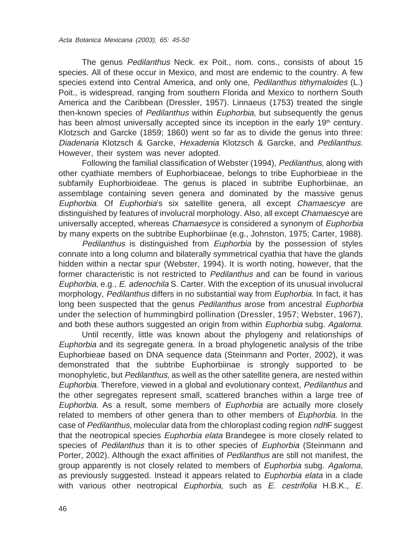The genus Pedilanthus Neck. ex Poit., nom. cons., consists of about 15 species. All of these occur in Mexico, and most are endemic to the country. A few species extend into Central America, and only one, Pedilanthus tithymaloides (L.) Poit., is widespread, ranging from southern Florida and Mexico to northern South America and the Caribbean (Dressler, 1957). Linnaeus (1753) treated the single then-known species of *Pedilanthus* within *Euphorbia*, but subsequently the genus has been almost universally accepted since its inception in the early 19<sup>th</sup> century. Klotzsch and Garcke (1859; 1860) went so far as to divide the genus into three: Diadenaria Klotzsch & Garcke, Hexadenia Klotzsch & Garcke, and Pedilanthus. However, their system was never adopted.

Following the familial classification of Webster (1994), Pedilanthus, along with other cyathiate members of Euphorbiaceae, belongs to tribe Euphorbieae in the subfamily Euphorbioideae. The genus is placed in subtribe Euphorbiinae, an assemblage containing seven genera and dominated by the massive genus Euphorbia. Of Euphorbia's six satellite genera, all except Chamaescye are distinguished by features of involucral morphology. Also, all except Chamaescye are universally accepted, whereas *Chamaesyce* is considered a synonym of *Euphorbia* by many experts on the subtribe Euphorbiinae (e.g., Johnston, 1975; Carter, 1988).

Pedilanthus is distinguished from Euphorbia by the possession of styles connate into a long column and bilaterally symmetrical cyathia that have the glands hidden within a nectar spur (Webster, 1994). It is worth noting, however, that the former characteristic is not restricted to Pedilanthus and can be found in various Euphorbia, e.g., E. adenochila S. Carter. With the exception of its unusual involucral morphology, Pedilanthus differs in no substantial way from Euphorbia. In fact, it has long been suspected that the genus Pedilanthus arose from ancestral Euphorbia under the selection of hummingbird pollination (Dressler, 1957; Webster, 1967), and both these authors suggested an origin from within *Euphorbia* subg. Agaloma.

Until recently, little was known about the phylogeny and relationships of Euphorbia and its segregate genera. In a broad phylogenetic analysis of the tribe Euphorbieae based on DNA sequence data (Steinmann and Porter, 2002), it was demonstrated that the subtribe Euphorbiinae is strongly supported to be monophyletic, but Pedilanthus, as well as the other satellite genera, are nested within Euphorbia. Therefore, viewed in a global and evolutionary context, Pedilanthus and the other segregates represent small, scattered branches within a large tree of Euphorbia. As a result, some members of Euphorbia are actually more closely related to members of other genera than to other members of *Euphorbia*. In the case of Pedilanthus, molecular data from the chloroplast coding region ndhF suggest that the neotropical species *Euphorbia elata* Brandegee is more closely related to species of Pedilanthus than it is to other species of Euphorbia (Steinmann and Porter, 2002). Although the exact affinities of *Pedilanthus* are still not manifest, the group apparently is not closely related to members of Euphorbia subg. Agaloma, as previously suggested. Instead it appears related to Euphorbia elata in a clade with various other neotropical Euphorbia, such as  $E$ . cestrifolia H.B.K.,  $E$ .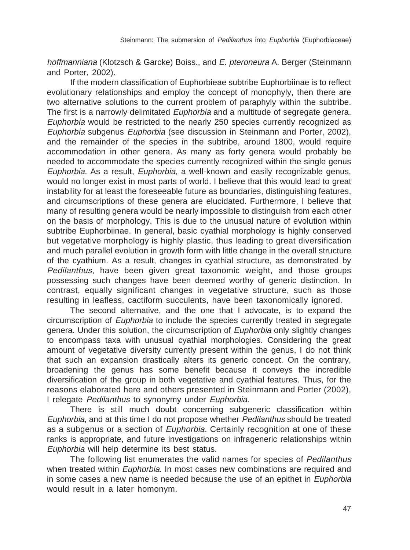hoffmanniana (Klotzsch & Garcke) Boiss., and E. pteroneura A. Berger (Steinmann and Porter, 2002).

If the modern classification of Euphorbieae subtribe Euphorbiinae is to reflect evolutionary relationships and employ the concept of monophyly, then there are two alternative solutions to the current problem of paraphyly within the subtribe. The first is a narrowly delimitated Euphorbia and a multitude of segregate genera. Euphorbia would be restricted to the nearly 250 species currently recognized as Euphorbia subgenus Euphorbia (see discussion in Steinmann and Porter, 2002), and the remainder of the species in the subtribe, around 1800, would require accommodation in other genera. As many as forty genera would probably be needed to accommodate the species currently recognized within the single genus Euphorbia. As a result, Euphorbia, a well-known and easily recognizable genus, would no longer exist in most parts of world. I believe that this would lead to great instability for at least the foreseeable future as boundaries, distinguishing features, and circumscriptions of these genera are elucidated. Furthermore, I believe that many of resulting genera would be nearly impossible to distinguish from each other on the basis of morphology. This is due to the unusual nature of evolution within subtribe Euphorbiinae. In general, basic cyathial morphology is highly conserved but vegetative morphology is highly plastic, thus leading to great diversification and much parallel evolution in growth form with little change in the overall structure of the cyathium. As a result, changes in cyathial structure, as demonstrated by Pedilanthus, have been given great taxonomic weight, and those groups possessing such changes have been deemed worthy of generic distinction. In contrast, equally significant changes in vegetative structure, such as those resulting in leafless, cactiform succulents, have been taxonomically ignored.

The second alternative, and the one that I advocate, is to expand the circumscription of Euphorbia to include the species currently treated in segregate genera. Under this solution, the circumscription of Euphorbia only slightly changes to encompass taxa with unusual cyathial morphologies. Considering the great amount of vegetative diversity currently present within the genus, I do not think that such an expansion drastically alters its generic concept. On the contrary, broadening the genus has some benefit because it conveys the incredible diversification of the group in both vegetative and cyathial features. Thus, for the reasons elaborated here and others presented in Steinmann and Porter (2002), I relegate Pedilanthus to synonymy under Euphorbia.

There is still much doubt concerning subgeneric classification within Euphorbia, and at this time I do not propose whether Pedilanthus should be treated as a subgenus or a section of Euphorbia. Certainly recognition at one of these ranks is appropriate, and future investigations on infrageneric relationships within Euphorbia will help determine its best status.

The following list enumerates the valid names for species of Pedilanthus when treated within *Euphorbia*. In most cases new combinations are required and in some cases a new name is needed because the use of an epithet in Euphorbia would result in a later homonym.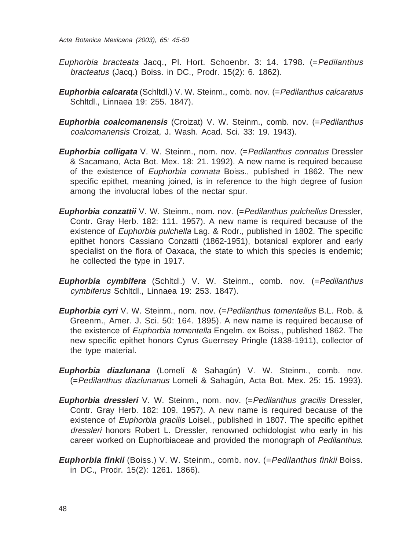- Euphorbia bracteata Jacq., Pl. Hort. Schoenbr. 3: 14. 1798. (=Pedilanthus bracteatus (Jacq.) Boiss. in DC., Prodr. 15(2): 6. 1862).
- **Euphorbia calcarata** (Schltdl.) V. W. Steinm., comb. nov. (=Pedilanthus calcaratus Schltdl., Linnaea 19: 255. 1847).
- **Euphorbia coalcomanensis** (Croizat) V. W. Steinm., comb. nov. (=Pedilanthus coalcomanensis Croizat, J. Wash. Acad. Sci. 33: 19. 1943).
- **Euphorbia colligata** V. W. Steinm., nom. nov. (=Pedilanthus connatus Dressler & Sacamano, Acta Bot. Mex. 18: 21. 1992). A new name is required because of the existence of Euphorbia connata Boiss., published in 1862. The new specific epithet, meaning joined, is in reference to the high degree of fusion among the involucral lobes of the nectar spur.
- **Euphorbia conzattii** V. W. Steinm., nom. nov. (=Pedilanthus pulchellus Dressler, Contr. Gray Herb. 182: 111. 1957). A new name is required because of the existence of Euphorbia pulchella Lag. & Rodr., published in 1802. The specific epithet honors Cassiano Conzatti (1862-1951), botanical explorer and early specialist on the flora of Oaxaca, the state to which this species is endemic; he collected the type in 1917.
- **Euphorbia cymbifera** (Schltdl.) V. W. Steinm., comb. nov. (=Pedilanthus cymbiferus Schltdl., Linnaea 19: 253. 1847).
- **Euphorbia cyri** V. W. Steinm., nom. nov. (= Pedilanthus tomentellus B.L. Rob. & Greenm., Amer. J. Sci. 50: 164. 1895). A new name is required because of the existence of Euphorbia tomentella Engelm. ex Boiss., published 1862. The new specific epithet honors Cyrus Guernsey Pringle (1838-1911), collector of the type material.
- **Euphorbia diazlunana** (Lomelí & Sahagún) V. W. Steinm., comb. nov. (=Pedilanthus diazlunanus Lomelí & Sahagún, Acta Bot. Mex. 25: 15. 1993).
- **Euphorbia dressleri** V. W. Steinm., nom. nov. (=Pedilanthus gracilis Dressler, Contr. Gray Herb. 182: 109. 1957). A new name is required because of the existence of *Euphorbia gracilis* Loisel., published in 1807. The specific epithet dressleri honors Robert L. Dressler, renowned ochidologist who early in his career worked on Euphorbiaceae and provided the monograph of Pedilanthus.
- **Euphorbia finkii** (Boiss.) V. W. Steinm., comb. nov. (=Pedilanthus finkii Boiss. in DC., Prodr. 15(2): 1261. 1866).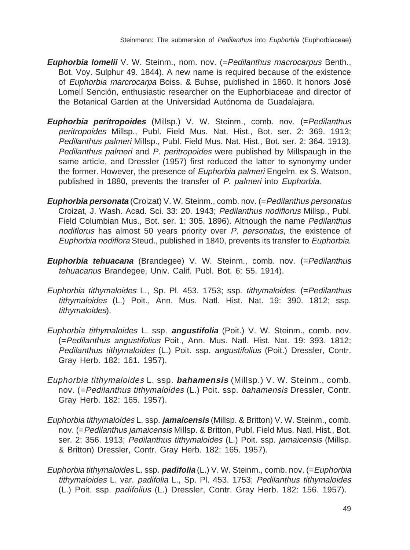- **Euphorbia lomelii** V. W. Steinm., nom. nov. (=Pedilanthus macrocarpus Benth., Bot. Voy. Sulphur 49. 1844). A new name is required because of the existence of Euphorbia marcrocarpa Boiss. & Buhse, published in 1860. It honors José Lomelí Sención, enthusiastic researcher on the Euphorbiaceae and director of the Botanical Garden at the Universidad Autónoma de Guadalajara.
- **Euphorbia peritropoides** (Millsp.) V. W. Steinm., comb. nov. (=Pedilanthus peritropoides Millsp., Publ. Field Mus. Nat. Hist., Bot. ser. 2: 369. 1913; Pedilanthus palmeri Millsp., Publ. Field Mus. Nat. Hist., Bot. ser. 2: 364. 1913). Pedilanthus palmeri and P. peritropoides were published by Millspaugh in the same article, and Dressler (1957) first reduced the latter to synonymy under the former. However, the presence of *Euphorbia palmeri* Engelm. ex S. Watson, published in 1880, prevents the transfer of P. palmeri into Euphorbia.
- **Euphorbia personata** (Croizat) V. W. Steinm., comb. nov. (=Pedilanthus personatus Croizat, J. Wash. Acad. Sci. 33: 20. 1943; Pedilanthus nodiflorus Millsp., Publ. Field Columbian Mus., Bot. ser. 1: 305. 1896). Although the name Pedilanthus nodiflorus has almost 50 years priority over P. personatus, the existence of Euphorbia nodiflora Steud., published in 1840, prevents its transfer to Euphorbia.
- **Euphorbia tehuacana** (Brandegee) V. W. Steinm., comb. nov. (= Pedilanthus tehuacanus Brandegee, Univ. Calif. Publ. Bot. 6: 55. 1914).
- Euphorbia tithymaloides L., Sp. Pl. 453. 1753; ssp. tithymaloides. (=Pedilanthus tithymaloides (L.) Poit., Ann. Mus. Natl. Hist. Nat. 19: 390. 1812; ssp. tithymaloides).
- Euphorbia tithymaloides L. ssp. **angustifolia** (Poit.) V. W. Steinm., comb. nov. (=Pedilanthus angustifolius Poit., Ann. Mus. Natl. Hist. Nat. 19: 393. 1812; Pedilanthus tithymaloides (L.) Poit. ssp. angustifolius (Poit.) Dressler, Contr. Gray Herb. 182: 161. 1957).
- Euphorbia tithymaloides L. ssp. **bahamensis** (Millsp.) V. W. Steinm., comb. nov. (=Pedilanthus tithymaloides (L.) Poit. ssp. bahamensis Dressler, Contr. Gray Herb. 182: 165. 1957).
- Euphorbia tithymaloides L. ssp. **jamaicensis** (Millsp. & Britton) V. W. Steinm., comb. nov. (=Pedilanthus jamaicensis Millsp. & Britton, Publ. Field Mus. Natl. Hist., Bot. ser. 2: 356. 1913; Pedilanthus tithymaloides (L.) Poit. ssp. jamaicensis (Millsp. & Britton) Dressler, Contr. Gray Herb. 182: 165. 1957).
- Euphorbia tithymaloides L. ssp. **padifolia** (L.) V. W. Steinm., comb. nov. (=Euphorbia tithymaloides L. var. padifolia L., Sp. Pl. 453. 1753; Pedilanthus tithymaloides (L.) Poit. ssp. padifolius (L.) Dressler, Contr. Gray Herb. 182: 156. 1957).